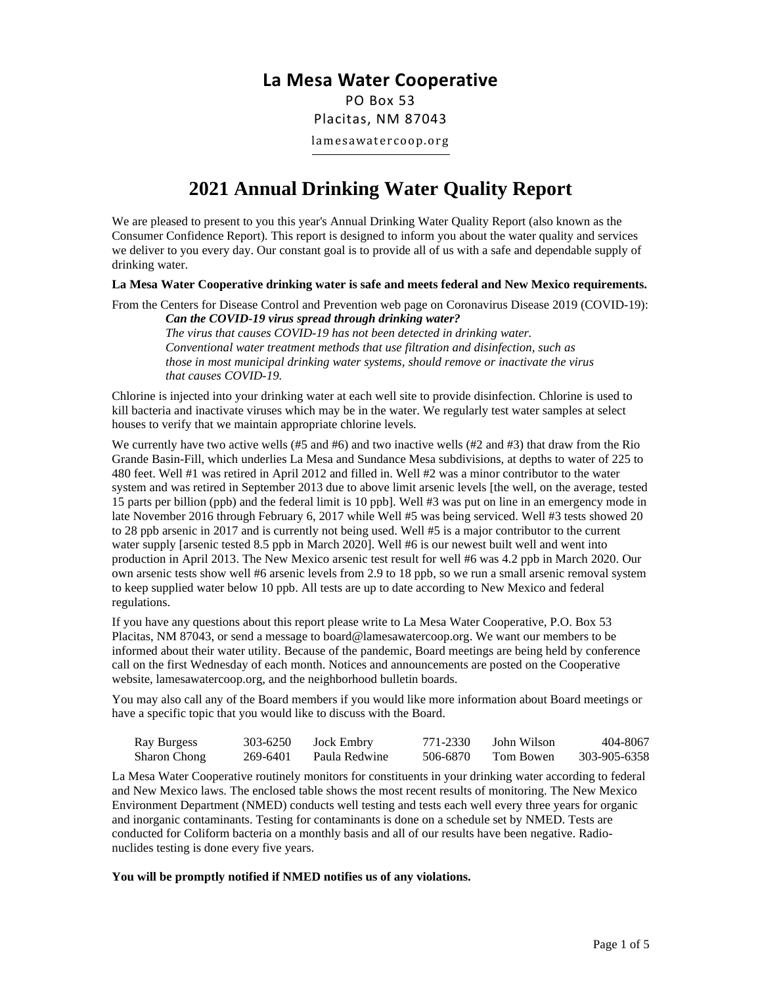## **La Mesa Water Cooperative**

PO Box 53 Placitas, NM 87043 lamesawatercoop.org

## **2021 Annual Drinking Water Quality Report**

We are pleased to present to you this year's Annual Drinking Water Quality Report (also known as the Consumer Confidence Report). This report is designed to inform you about the water quality and services we deliver to you every day. Our constant goal is to provide all of us with a safe and dependable supply of drinking water.

**La Mesa Water Cooperative drinking water is safe and meets federal and New Mexico requirements.** 

From the Centers for Disease Control and Prevention web page on Coronavirus Disease 2019 (COVID-19): *Can the COVID-19 virus spread through drinking water?*

*The virus that causes COVID-19 has not been detected in drinking water. Conventional water treatment methods that use filtration and disinfection, such as those in most municipal drinking water systems, should remove or inactivate the virus that causes COVID-19.*

Chlorine is injected into your drinking water at each well site to provide disinfection. Chlorine is used to kill bacteria and inactivate viruses which may be in the water. We regularly test water samples at select houses to verify that we maintain appropriate chlorine levels.

We currently have two active wells (#5 and #6) and two inactive wells (#2 and #3) that draw from the Rio Grande Basin-Fill, which underlies La Mesa and Sundance Mesa subdivisions, at depths to water of 225 to 480 feet. Well #1 was retired in April 2012 and filled in. Well #2 was a minor contributor to the water system and was retired in September 2013 due to above limit arsenic levels [the well, on the average, tested 15 parts per billion (ppb) and the federal limit is 10 ppb]. Well #3 was put on line in an emergency mode in late November 2016 through February 6, 2017 while Well #5 was being serviced. Well #3 tests showed 20 to 28 ppb arsenic in 2017 and is currently not being used. Well #5 is a major contributor to the current water supply [arsenic tested 8.5 ppb in March 2020]. Well #6 is our newest built well and went into production in April 2013. The New Mexico arsenic test result for well #6 was 4.2 ppb in March 2020. Our own arsenic tests show well #6 arsenic levels from 2.9 to 18 ppb, so we run a small arsenic removal system to keep supplied water below 10 ppb. All tests are up to date according to New Mexico and federal regulations.

If you have any questions about this report please write to La Mesa Water Cooperative, P.O. Box 53 Placitas, NM 87043, or send a message to board@lamesawatercoop.org. We want our members to be informed about their water utility. Because of the pandemic, Board meetings are being held by conference call on the first Wednesday of each month. Notices and announcements are posted on the Cooperative website, lamesawatercoop.org, and the neighborhood bulletin boards.

You may also call any of the Board members if you would like more information about Board meetings or have a specific topic that you would like to discuss with the Board.

| Ray Burgess         | 303-6250 | Jock Embry    | 771-2330 | John Wilson | 404-8067     |
|---------------------|----------|---------------|----------|-------------|--------------|
| <b>Sharon Chong</b> | 269-6401 | Paula Redwine | 506-6870 | Tom Bowen   | 303-905-6358 |

La Mesa Water Cooperative routinely monitors for constituents in your drinking water according to federal and New Mexico laws. The enclosed table shows the most recent results of monitoring. The New Mexico Environment Department (NMED) conducts well testing and tests each well every three years for organic and inorganic contaminants. Testing for contaminants is done on a schedule set by NMED. Tests are conducted for Coliform bacteria on a monthly basis and all of our results have been negative. Radionuclides testing is done every five years.

**You will be promptly notified if NMED notifies us of any violations.**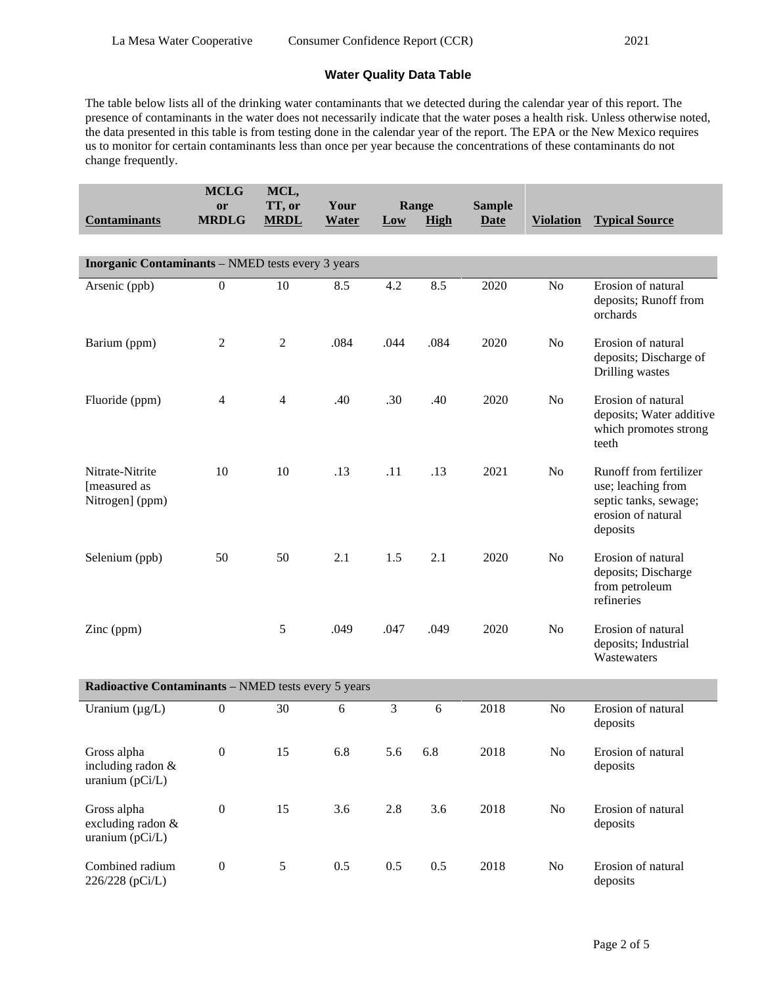## **Water Quality Data Table**

The table below lists all of the drinking water contaminants that we detected during the calendar year of this report. The presence of contaminants in the water does not necessarily indicate that the water poses a health risk. Unless otherwise noted, the data presented in this table is from testing done in the calendar year of the report. The EPA or the New Mexico requires us to monitor for certain contaminants less than once per year because the concentrations of these contaminants do not change frequently.

| <b>Contaminants</b>                                      | <b>MCLG</b><br>or<br><b>MRDLG</b> | MCL,<br>TT, or<br><b>MRDL</b> | Your<br><b>Water</b> | Low            | Range<br><b>High</b> | <b>Sample</b><br><b>Date</b> | <b>Violation</b> | <b>Typical Source</b>                                                                                   |
|----------------------------------------------------------|-----------------------------------|-------------------------------|----------------------|----------------|----------------------|------------------------------|------------------|---------------------------------------------------------------------------------------------------------|
|                                                          |                                   |                               |                      |                |                      |                              |                  |                                                                                                         |
| <b>Inorganic Contaminants</b> - NMED tests every 3 years |                                   |                               |                      |                |                      |                              |                  |                                                                                                         |
| Arsenic (ppb)                                            | $\boldsymbol{0}$                  | 10                            | 8.5                  | 4.2            | 8.5                  | 2020                         | No               | Erosion of natural<br>deposits; Runoff from<br>orchards                                                 |
| Barium (ppm)                                             | $\overline{2}$                    | $\mathbf{2}$                  | .084                 | .044           | .084                 | 2020                         | No               | Erosion of natural<br>deposits; Discharge of<br>Drilling wastes                                         |
| Fluoride (ppm)                                           | $\overline{4}$                    | $\overline{4}$                | .40                  | .30            | .40                  | 2020                         | No               | Erosion of natural<br>deposits; Water additive<br>which promotes strong<br>teeth                        |
| Nitrate-Nitrite<br>[measured as<br>Nitrogen] (ppm)       | 10                                | 10                            | .13                  | .11            | .13                  | 2021                         | N <sub>o</sub>   | Runoff from fertilizer<br>use; leaching from<br>septic tanks, sewage;<br>erosion of natural<br>deposits |
| Selenium (ppb)                                           | 50                                | 50                            | 2.1                  | 1.5            | 2.1                  | 2020                         | No               | Erosion of natural<br>deposits; Discharge<br>from petroleum<br>refineries                               |
| Zinc (ppm)                                               |                                   | 5                             | .049                 | .047           | .049                 | 2020                         | No               | Erosion of natural<br>deposits; Industrial<br>Wastewaters                                               |
| Radioactive Contaminants - NMED tests every 5 years      |                                   |                               |                      |                |                      |                              |                  |                                                                                                         |
| Uranium $(\mu g/L)$                                      | $\boldsymbol{0}$                  | 30                            | 6                    | $\overline{3}$ | 6                    | 2018                         | N <sub>o</sub>   | Erosion of natural<br>deposits                                                                          |
| Gross alpha<br>including radon &<br>uranium (pCi/L)      | $\boldsymbol{0}$                  | 15                            | 6.8                  | 5.6            | 6.8                  | 2018                         | No               | Erosion of natural<br>deposits                                                                          |
| Gross alpha<br>excluding radon &<br>uranium (pCi/L)      | $\boldsymbol{0}$                  | 15                            | 3.6                  | 2.8            | 3.6                  | 2018                         | No               | Erosion of natural<br>deposits                                                                          |
| Combined radium<br>226/228 (pCi/L)                       | $\boldsymbol{0}$                  | 5                             | 0.5                  | 0.5            | 0.5                  | 2018                         | $\rm No$         | Erosion of natural<br>deposits                                                                          |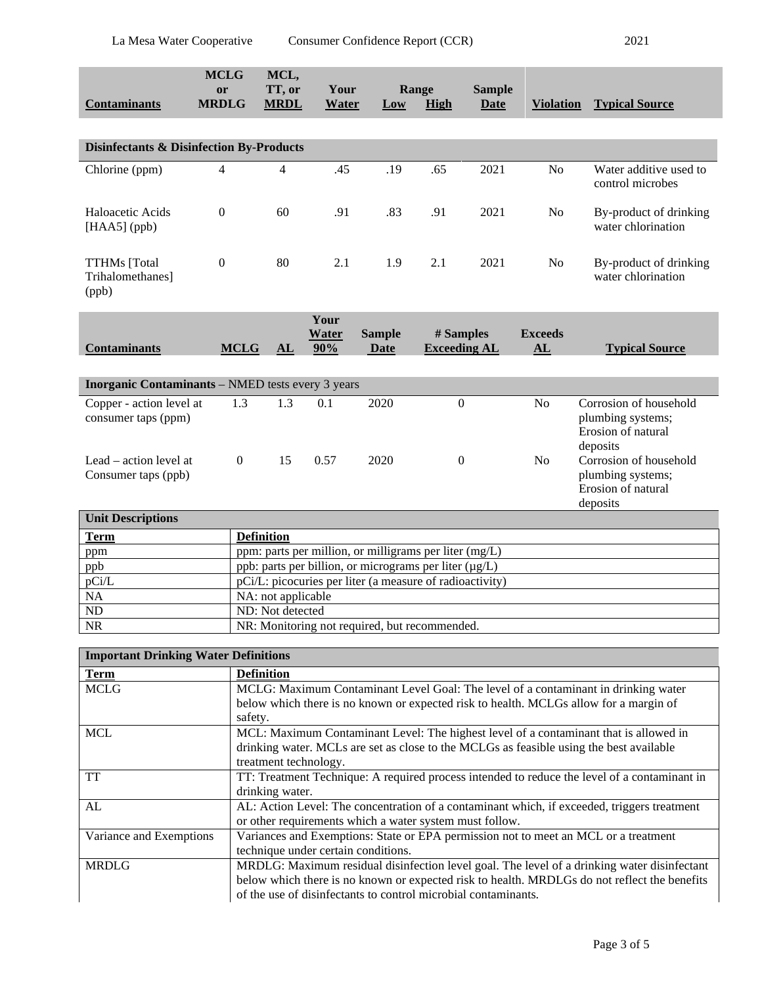|                                                          | <b>MCLG</b><br><b>or</b><br><b>MRDLG</b> | MCL,<br>TT, or                                           | Your                 |                              | Range                            | <b>Sample</b> |                      |                                                                               |
|----------------------------------------------------------|------------------------------------------|----------------------------------------------------------|----------------------|------------------------------|----------------------------------|---------------|----------------------|-------------------------------------------------------------------------------|
| <b>Contaminants</b>                                      |                                          | <b>MRDL</b>                                              | Water                | Low                          | <b>High</b>                      | <b>Date</b>   | <b>Violation</b>     | <b>Typical Source</b>                                                         |
|                                                          |                                          |                                                          |                      |                              |                                  |               |                      |                                                                               |
| <b>Disinfectants &amp; Disinfection By-Products</b>      |                                          |                                                          |                      |                              |                                  |               |                      |                                                                               |
| Chlorine (ppm)                                           | $\overline{4}$                           | $\overline{4}$                                           | .45                  | .19                          | .65                              | 2021          | N <sub>o</sub>       | Water additive used to<br>control microbes                                    |
| Haloacetic Acids<br>$[HAA5]$ (ppb)                       | $\mathbf{0}$                             | 60                                                       | .91                  | .83                          | .91                              | 2021          | N <sub>o</sub>       | By-product of drinking<br>water chlorination                                  |
| <b>TTHMs</b> [Total<br>Trihalomethanes]<br>(ppb)         | $\Omega$                                 | 80                                                       | 2.1                  | 1.9                          | 2.1                              | 2021          | N <sub>o</sub>       | By-product of drinking<br>water chlorination                                  |
| <b>Contaminants</b>                                      | <b>MCLG</b>                              | AL                                                       | Your<br>Water<br>90% | <b>Sample</b><br><b>Date</b> | # Samples<br><b>Exceeding AL</b> |               | <b>Exceeds</b><br>AL | <b>Typical Source</b>                                                         |
| <b>Inorganic Contaminants</b> – NMED tests every 3 years |                                          |                                                          |                      |                              |                                  |               |                      |                                                                               |
| Copper - action level at<br>consumer taps (ppm)          | 1.3                                      | 1.3                                                      | 0.1                  | 2020                         | $\overline{0}$                   |               | N <sub>o</sub>       | Corrosion of household<br>plumbing systems;<br>Erosion of natural<br>deposits |
| Lead - action level at<br>Consumer taps (ppb)            | $\mathbf{0}$                             | 15                                                       | 0.57                 | 2020                         | $\mathbf{0}$                     |               | N <sub>o</sub>       | Corrosion of household<br>plumbing systems;<br>Erosion of natural<br>deposits |
| <b>Unit Descriptions</b>                                 |                                          |                                                          |                      |                              |                                  |               |                      |                                                                               |
| <b>Term</b>                                              | <b>Definition</b>                        |                                                          |                      |                              |                                  |               |                      |                                                                               |
| ppm                                                      |                                          | ppm: parts per million, or milligrams per liter (mg/L)   |                      |                              |                                  |               |                      |                                                                               |
| ppb                                                      |                                          | ppb: parts per billion, or micrograms per liter (µg/L)   |                      |                              |                                  |               |                      |                                                                               |
| pCi/L                                                    |                                          | pCi/L: picocuries per liter (a measure of radioactivity) |                      |                              |                                  |               |                      |                                                                               |
| NA                                                       |                                          | NA: not applicable                                       |                      |                              |                                  |               |                      |                                                                               |
| ND                                                       |                                          | ND: Not detected                                         |                      |                              |                                  |               |                      |                                                                               |
| <b>NR</b>                                                |                                          | NR: Monitoring not required, but recommended.            |                      |                              |                                  |               |                      |                                                                               |

| <b>Important Drinking Water Definitions</b> |                                                                                              |  |  |  |
|---------------------------------------------|----------------------------------------------------------------------------------------------|--|--|--|
| <b>Term</b>                                 | <b>Definition</b>                                                                            |  |  |  |
| <b>MCLG</b>                                 | MCLG: Maximum Contaminant Level Goal: The level of a contaminant in drinking water           |  |  |  |
|                                             | below which there is no known or expected risk to health. MCLGs allow for a margin of        |  |  |  |
|                                             | safety.                                                                                      |  |  |  |
| <b>MCL</b>                                  | MCL: Maximum Contaminant Level: The highest level of a contaminant that is allowed in        |  |  |  |
|                                             | drinking water. MCLs are set as close to the MCLGs as feasible using the best available      |  |  |  |
|                                             | treatment technology.                                                                        |  |  |  |
| <b>TT</b>                                   | TT: Treatment Technique: A required process intended to reduce the level of a contaminant in |  |  |  |
|                                             | drinking water.                                                                              |  |  |  |
| AL                                          | AL: Action Level: The concentration of a contaminant which, if exceeded, triggers treatment  |  |  |  |
|                                             | or other requirements which a water system must follow.                                      |  |  |  |
| Variance and Exemptions                     | Variances and Exemptions: State or EPA permission not to meet an MCL or a treatment          |  |  |  |
|                                             | technique under certain conditions.                                                          |  |  |  |
| <b>MRDLG</b>                                | MRDLG: Maximum residual disinfection level goal. The level of a drinking water disinfectant  |  |  |  |
|                                             | below which there is no known or expected risk to health. MRDLGs do not reflect the benefits |  |  |  |
|                                             | of the use of disinfectants to control microbial contaminants.                               |  |  |  |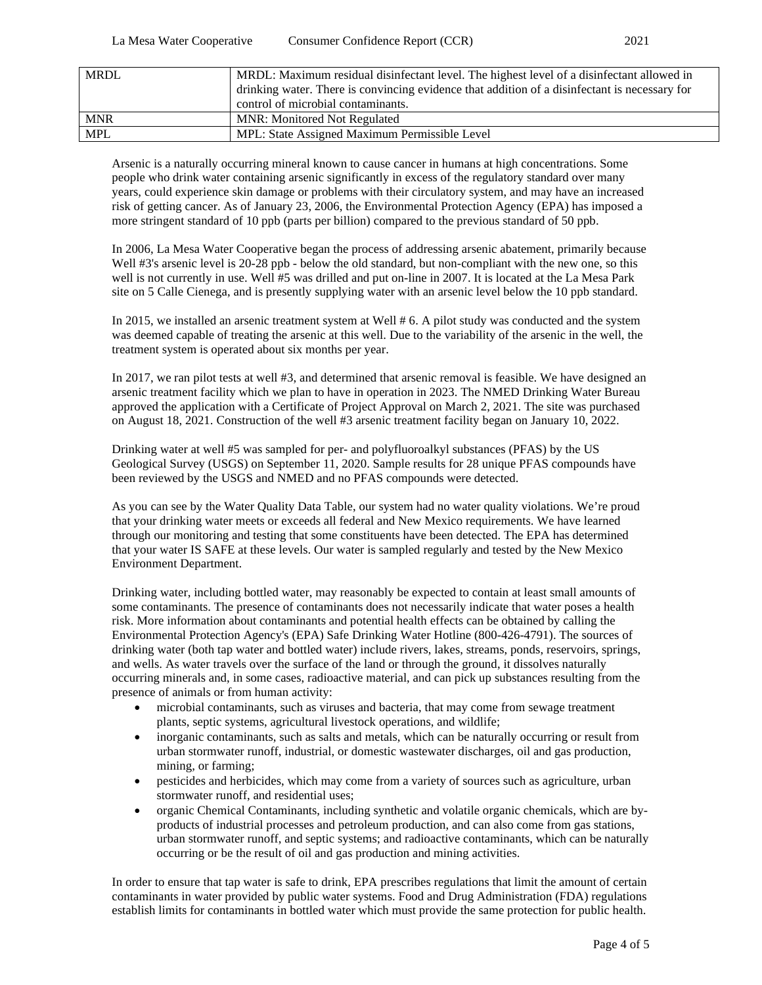| <b>MRDL</b> | MRDL: Maximum residual disinfectant level. The highest level of a disinfectant allowed in<br>drinking water. There is convincing evidence that addition of a disinfectant is necessary for<br>control of microbial contaminants. |
|-------------|----------------------------------------------------------------------------------------------------------------------------------------------------------------------------------------------------------------------------------|
| <b>MNR</b>  | <b>MNR: Monitored Not Regulated</b>                                                                                                                                                                                              |
| <b>MPL</b>  | MPL: State Assigned Maximum Permissible Level                                                                                                                                                                                    |

Arsenic is a naturally occurring mineral known to cause cancer in humans at high concentrations. Some people who drink water containing arsenic significantly in excess of the regulatory standard over many years, could experience skin damage or problems with their circulatory system, and may have an increased risk of getting cancer. As of January 23, 2006, the Environmental Protection Agency (EPA) has imposed a more stringent standard of 10 ppb (parts per billion) compared to the previous standard of 50 ppb.

In 2006, La Mesa Water Cooperative began the process of addressing arsenic abatement, primarily because Well #3's arsenic level is 20-28 ppb - below the old standard, but non-compliant with the new one, so this well is not currently in use. Well #5 was drilled and put on-line in 2007. It is located at the La Mesa Park site on 5 Calle Cienega, and is presently supplying water with an arsenic level below the 10 ppb standard.

In 2015, we installed an arsenic treatment system at Well # 6. A pilot study was conducted and the system was deemed capable of treating the arsenic at this well. Due to the variability of the arsenic in the well, the treatment system is operated about six months per year.

In 2017, we ran pilot tests at well #3, and determined that arsenic removal is feasible. We have designed an arsenic treatment facility which we plan to have in operation in 2023. The NMED Drinking Water Bureau approved the application with a Certificate of Project Approval on March 2, 2021. The site was purchased on August 18, 2021. Construction of the well #3 arsenic treatment facility began on January 10, 2022.

Drinking water at well #5 was sampled for per- and polyfluoroalkyl substances (PFAS) by the US Geological Survey (USGS) on September 11, 2020. Sample results for 28 unique PFAS compounds have been reviewed by the USGS and NMED and no PFAS compounds were detected.

As you can see by the Water Quality Data Table, our system had no water quality violations. We're proud that your drinking water meets or exceeds all federal and New Mexico requirements. We have learned through our monitoring and testing that some constituents have been detected. The EPA has determined that your water IS SAFE at these levels. Our water is sampled regularly and tested by the New Mexico Environment Department.

Drinking water, including bottled water, may reasonably be expected to contain at least small amounts of some contaminants. The presence of contaminants does not necessarily indicate that water poses a health risk. More information about contaminants and potential health effects can be obtained by calling the Environmental Protection Agency's (EPA) Safe Drinking Water Hotline (800-426-4791). The sources of drinking water (both tap water and bottled water) include rivers, lakes, streams, ponds, reservoirs, springs, and wells. As water travels over the surface of the land or through the ground, it dissolves naturally occurring minerals and, in some cases, radioactive material, and can pick up substances resulting from the presence of animals or from human activity:

- microbial contaminants, such as viruses and bacteria, that may come from sewage treatment plants, septic systems, agricultural livestock operations, and wildlife;
- inorganic contaminants, such as salts and metals, which can be naturally occurring or result from urban stormwater runoff, industrial, or domestic wastewater discharges, oil and gas production, mining, or farming;
- pesticides and herbicides, which may come from a variety of sources such as agriculture, urban stormwater runoff, and residential uses;
- organic Chemical Contaminants, including synthetic and volatile organic chemicals, which are byproducts of industrial processes and petroleum production, and can also come from gas stations, urban stormwater runoff, and septic systems; and radioactive contaminants, which can be naturally occurring or be the result of oil and gas production and mining activities.

In order to ensure that tap water is safe to drink, EPA prescribes regulations that limit the amount of certain contaminants in water provided by public water systems. Food and Drug Administration (FDA) regulations establish limits for contaminants in bottled water which must provide the same protection for public health.